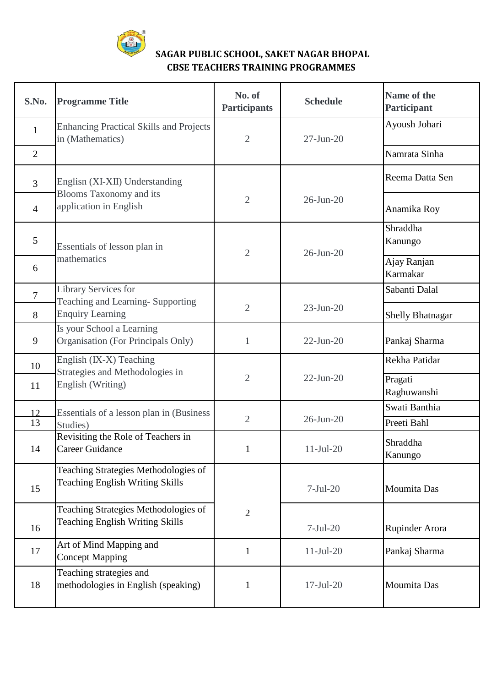

## **SAGAR PUBLIC SCHOOL, SAKET NAGAR BHOPAL CBSE TEACHERS TRAINING PROGRAMMES**

| S.No.          | <b>Programme Title</b>                                                         | No. of<br><b>Participants</b> | <b>Schedule</b> | Name of the<br>Participant |
|----------------|--------------------------------------------------------------------------------|-------------------------------|-----------------|----------------------------|
| $\mathbf{1}$   | <b>Enhancing Practical Skills and Projects</b><br>in (Mathematics)             | $\overline{2}$                | $27$ -Jun- $20$ | Ayoush Johari              |
| $\overline{2}$ |                                                                                |                               |                 | Namrata Sinha              |
| $\overline{3}$ | Englisn (XI-XII) Understanding                                                 |                               |                 | Reema Datta Sen            |
| $\overline{4}$ | <b>Blooms Taxonomy and its</b><br>application in English                       | $\sqrt{2}$                    | $26$ -Jun- $20$ | Anamika Roy                |
| $\mathfrak{S}$ | Essentials of lesson plan in<br>mathematics                                    | $\overline{2}$                | 26-Jun-20       | Shraddha<br>Kanungo        |
| 6              |                                                                                |                               |                 | Ajay Ranjan<br>Karmakar    |
| $\overline{7}$ | Library Services for<br>Teaching and Learning-Supporting                       |                               |                 | Sabanti Dalal              |
| 8              | <b>Enquiry Learning</b>                                                        | $\overline{2}$                | $23$ -Jun-20    | Shelly Bhatnagar           |
| 9              | Is your School a Learning<br>Organisation (For Principals Only)                | $\mathbf{1}$                  | $22-Jun-20$     | Pankaj Sharma              |
| 10             | English (IX-X) Teaching                                                        | $\overline{2}$                | $22-Jun-20$     | Rekha Patidar              |
| 11             | Strategies and Methodologies in<br>English (Writing)                           |                               |                 | Pragati<br>Raghuwanshi     |
| 12             | Essentials of a lesson plan in (Business                                       | $\overline{2}$                | 26-Jun-20       | Swati Banthia              |
| 13             | Studies)                                                                       |                               |                 | Preeti Bahl                |
| 14             | Revisiting the Role of Teachers in<br><b>Career Guidance</b>                   | $\mathbf{1}$                  | $11-Jul-20$     | Shraddha<br>Kanungo        |
| 15             | Teaching Strategies Methodologies of<br><b>Teaching English Writing Skills</b> |                               | $7-Jul-20$      | Moumita Das                |
| 16             | Teaching Strategies Methodologies of<br><b>Teaching English Writing Skills</b> | $\overline{2}$                | $7-Jul-20$      | <b>Rupinder Arora</b>      |
| 17             | Art of Mind Mapping and<br><b>Concept Mapping</b>                              | $\mathbf{1}$                  | $11-Jul-20$     | Pankaj Sharma              |
| 18             | Teaching strategies and<br>methodologies in English (speaking)                 | $\mathbf{1}$                  | $17-Jul-20$     | Moumita Das                |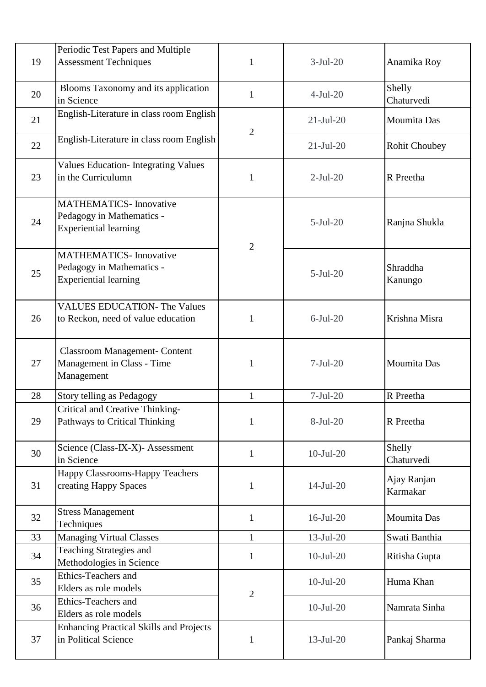|    | Periodic Test Papers and Multiple                                                          |                |              |                         |
|----|--------------------------------------------------------------------------------------------|----------------|--------------|-------------------------|
| 19 | <b>Assessment Techniques</b>                                                               | $\mathbf{1}$   | $3-Jul-20$   | Anamika Roy             |
| 20 | Blooms Taxonomy and its application<br>in Science                                          | $\mathbf{1}$   | $4-Jul-20$   | Shelly<br>Chaturvedi    |
| 21 | English-Literature in class room English                                                   | $\overline{2}$ | $21-Jul-20$  | Moumita Das             |
| 22 | English-Literature in class room English                                                   |                | $21-Jul-20$  | <b>Rohit Choubey</b>    |
| 23 | <b>Values Education- Integrating Values</b><br>in the Curriculumn                          | $\mathbf{1}$   | $2-Jul-20$   | R Preetha               |
| 24 | <b>MATHEMATICS-Innovative</b><br>Pedagogy in Mathematics -<br><b>Experiential learning</b> | $\overline{2}$ | $5-Jul-20$   | Ranjna Shukla           |
| 25 | <b>MATHEMATICS-Innovative</b><br>Pedagogy in Mathematics -<br><b>Experiential learning</b> |                | $5-Jul-20$   | Shraddha<br>Kanungo     |
| 26 | <b>VALUES EDUCATION- The Values</b><br>to Reckon, need of value education                  | 1              | $6$ -Jul-20  | Krishna Misra           |
| 27 | <b>Classroom Management- Content</b><br>Management in Class - Time<br>Management           | $\mathbf{1}$   | $7-Jul-20$   | Moumita Das             |
| 28 | Story telling as Pedagogy                                                                  | 1              | $7-Jul-20$   | R Preetha               |
| 29 | Critical and Creative Thinking-<br>Pathways to Critical Thinking                           | $\mathbf{1}$   | $8-Jul-20$   | R Preetha               |
| 30 | Science (Class-IX-X)- Assessment<br>in Science                                             | $\mathbf{1}$   | $10-Jul-20$  | Shelly<br>Chaturvedi    |
| 31 | Happy Classrooms-Happy Teachers<br>creating Happy Spaces                                   | $\mathbf{1}$   | $14-Jul-20$  | Ajay Ranjan<br>Karmakar |
| 32 | <b>Stress Management</b><br>Techniques                                                     | $\mathbf{1}$   | $16$ -Jul-20 | Moumita Das             |
| 33 | <b>Managing Virtual Classes</b>                                                            | $\mathbf{1}$   | $13$ -Jul-20 | Swati Banthia           |
| 34 | Teaching Strategies and<br>Methodologies in Science                                        | $\mathbf{1}$   | $10-Jul-20$  | Ritisha Gupta           |
| 35 | <b>Ethics-Teachers and</b><br>Elders as role models                                        | $\overline{2}$ | $10-Jul-20$  | Huma Khan               |
| 36 | Ethics-Teachers and<br>Elders as role models                                               |                | $10-Jul-20$  | Namrata Sinha           |
| 37 | <b>Enhancing Practical Skills and Projects</b><br>in Political Science                     | $\mathbf{1}$   | $13-Jul-20$  | Pankaj Sharma           |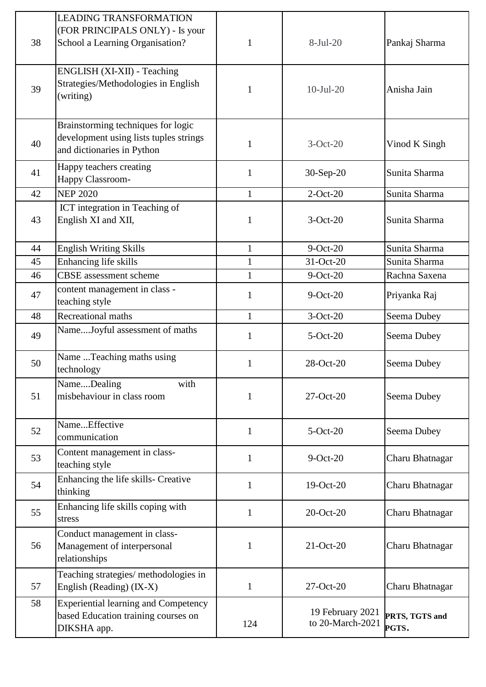| 38 | <b>LEADING TRANSFORMATION</b><br>(FOR PRINCIPALS ONLY) - Is your<br>School a Learning Organisation?        | $\mathbf{1}$ | $8-Jul-20$                           | Pankaj Sharma           |
|----|------------------------------------------------------------------------------------------------------------|--------------|--------------------------------------|-------------------------|
| 39 | ENGLISH (XI-XII) - Teaching<br>Strategies/Methodologies in English<br>(writing)                            | $\mathbf{1}$ | $10-Jul-20$                          | Anisha Jain             |
| 40 | Brainstorming techniques for logic<br>development using lists tuples strings<br>and dictionaries in Python | 1            | $3-Oct-20$                           | Vinod K Singh           |
| 41 | Happy teachers creating<br><b>Happy Classroom-</b>                                                         | $\mathbf{1}$ | 30-Sep-20                            | Sunita Sharma           |
| 42 | <b>NEP 2020</b>                                                                                            | $\mathbf{1}$ | $2$ -Oct-20                          | Sunita Sharma           |
| 43 | ICT integration in Teaching of<br>English XI and XII,                                                      | 1            | $3-Oct-20$                           | Sunita Sharma           |
| 44 | <b>English Writing Skills</b>                                                                              | $\mathbf{1}$ | $9-Oct-20$                           | Sunita Sharma           |
| 45 | Enhancing life skills                                                                                      | $\mathbf{1}$ | 31-Oct-20                            | Sunita Sharma           |
| 46 | <b>CBSE</b> assessment scheme                                                                              | $\mathbf{1}$ | $9$ -Oct-20                          | Rachna Saxena           |
| 47 | content management in class -<br>teaching style                                                            | $\mathbf{1}$ | $9-Oct-20$                           | Priyanka Raj            |
| 48 | Recreational maths                                                                                         | $\mathbf{1}$ | $3-Oct-20$                           | Seema Dubey             |
| 49 | NameJoyful assessment of maths                                                                             | $\mathbf{1}$ | $5-Oct-20$                           | Seema Dubey             |
| 50 | Name Teaching maths using<br>technology                                                                    | $\mathbf{1}$ | 28-Oct-20                            | Seema Dubey             |
| 51 | NameDealing<br>with<br>misbehaviour in class room                                                          | 1            | 27-Oct-20                            | Seema Dubey             |
| 52 | NameEffective<br>communication                                                                             | 1            | $5-Oct-20$                           | Seema Dubey             |
| 53 | Content management in class-<br>teaching style                                                             | $\mathbf{1}$ | $9-Oct-20$                           | Charu Bhatnagar         |
| 54 | Enhancing the life skills- Creative<br>thinking                                                            | $\mathbf{1}$ | 19-Oct-20                            | Charu Bhatnagar         |
| 55 | Enhancing life skills coping with<br>stress                                                                | $\mathbf{1}$ | 20-Oct-20                            | Charu Bhatnagar         |
| 56 | Conduct management in class-<br>Management of interpersonal<br>relationships                               | 1            | 21-Oct-20                            | Charu Bhatnagar         |
| 57 | Teaching strategies/ methodologies in<br>English (Reading) (IX-X)                                          | $\mathbf{1}$ | 27-Oct-20                            | Charu Bhatnagar         |
| 58 | <b>Experiential learning and Competency</b><br>based Education training courses on<br>DIKSHA app.          | 124          | 19 February 2021<br>to 20-March-2021 | PRTS, TGTS and<br>PGTS. |